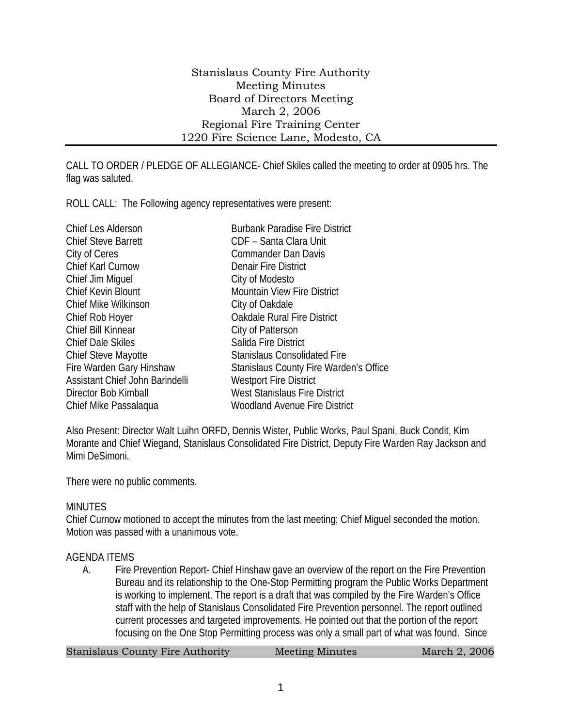## CALL TO ORDER / PLEDGE OF ALLEGIANCE- Chief Skiles called the meeting to order at 0905 hrs. The flag was saluted.

ROLL CALL: The Following agency representatives were present:

| <b>Chief Les Alderson</b>       | <b>Burbank Paradise Fire District</b>  |  |  |
|---------------------------------|----------------------------------------|--|--|
| <b>Chief Steve Barrett</b>      | CDF - Santa Clara Unit                 |  |  |
| City of Ceres                   | <b>Commander Dan Davis</b>             |  |  |
| Chief Karl Curnow               | <b>Denair Fire District</b>            |  |  |
| Chief Jim Miguel                | City of Modesto                        |  |  |
| <b>Chief Kevin Blount</b>       | <b>Mountain View Fire District</b>     |  |  |
| <b>Chief Mike Wilkinson</b>     | City of Oakdale                        |  |  |
| Chief Rob Hoyer                 | Oakdale Rural Fire District            |  |  |
| Chief Bill Kinnear              | City of Patterson                      |  |  |
| <b>Chief Dale Skiles</b>        | Salida Fire District                   |  |  |
| <b>Chief Steve Mayotte</b>      | <b>Stanislaus Consolidated Fire</b>    |  |  |
| Fire Warden Gary Hinshaw        | Stanislaus County Fire Warden's Office |  |  |
| Assistant Chief John Barindelli | <b>Westport Fire District</b>          |  |  |
| Director Bob Kimball            | West Stanislaus Fire District          |  |  |
| Chief Mike Passalaqua           | <b>Woodland Avenue Fire District</b>   |  |  |

Also Present: Director Walt Luihn ORFD, Dennis Wister, Public Works, Paul Spani, Buck Condit, Kim Morante and Chief Wiegand, Stanislaus Consolidated Fire District, Deputy Fire Warden Ray Jackson and Mimi DeSimoni.

There were no public comments.

## **MINUTES**

Chief Curnow motioned to accept the minutes from the last meeting; Chief Miguel seconded the motion. Motion was passed with a unanimous vote.

## AGENDA ITEMS

A. Fire Prevention Report- Chief Hinshaw gave an overview of the report on the Fire Prevention Bureau and its relationship to the One-Stop Permitting program the Public Works Department is working to implement. The report is a draft that was compiled by the Fire Warden's Office staff with the help of Stanislaus Consolidated Fire Prevention personnel. The report outlined current processes and targeted improvements. He pointed out that the portion of the report focusing on the One Stop Permitting process was only a small part of what was found. Since

Stanislaus County Fire Authority **Meeting Minutes** March 2, 2006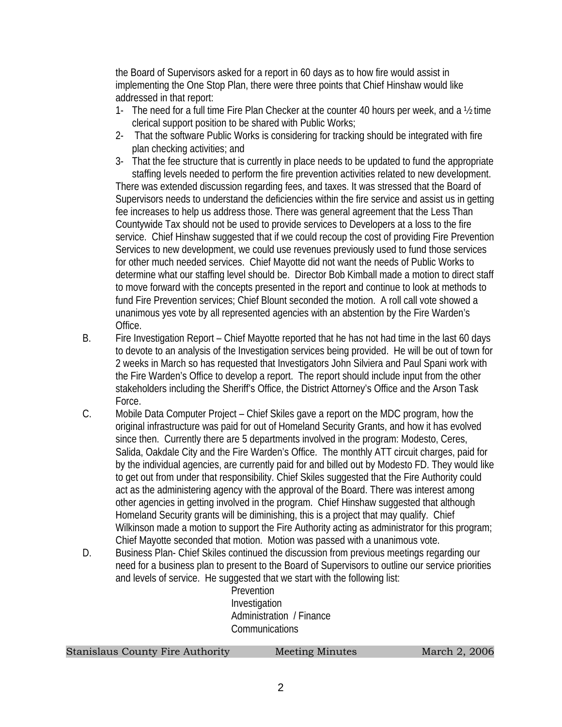the Board of Supervisors asked for a report in 60 days as to how fire would assist in implementing the One Stop Plan, there were three points that Chief Hinshaw would like addressed in that report:

- 1- The need for a full time Fire Plan Checker at the counter 40 hours per week, and a ½ time clerical support position to be shared with Public Works;
- 2- That the software Public Works is considering for tracking should be integrated with fire plan checking activities; and
- 3- That the fee structure that is currently in place needs to be updated to fund the appropriate staffing levels needed to perform the fire prevention activities related to new development. There was extended discussion regarding fees, and taxes. It was stressed that the Board of Supervisors needs to understand the deficiencies within the fire service and assist us in getting fee increases to help us address those. There was general agreement that the Less Than Countywide Tax should not be used to provide services to Developers at a loss to the fire service. Chief Hinshaw suggested that if we could recoup the cost of providing Fire Prevention Services to new development, we could use revenues previously used to fund those services for other much needed services. Chief Mayotte did not want the needs of Public Works to determine what our staffing level should be. Director Bob Kimball made a motion to direct staff to move forward with the concepts presented in the report and continue to look at methods to fund Fire Prevention services; Chief Blount seconded the motion. A roll call vote showed a unanimous yes vote by all represented agencies with an abstention by the Fire Warden's Office.
- B. Fire Investigation Report Chief Mayotte reported that he has not had time in the last 60 days to devote to an analysis of the Investigation services being provided. He will be out of town for 2 weeks in March so has requested that Investigators John Silviera and Paul Spani work with the Fire Warden's Office to develop a report. The report should include input from the other stakeholders including the Sheriff's Office, the District Attorney's Office and the Arson Task Force.
- C. Mobile Data Computer Project Chief Skiles gave a report on the MDC program, how the original infrastructure was paid for out of Homeland Security Grants, and how it has evolved since then. Currently there are 5 departments involved in the program: Modesto, Ceres, Salida, Oakdale City and the Fire Warden's Office. The monthly ATT circuit charges, paid for by the individual agencies, are currently paid for and billed out by Modesto FD. They would like to get out from under that responsibility. Chief Skiles suggested that the Fire Authority could act as the administering agency with the approval of the Board. There was interest among other agencies in getting involved in the program. Chief Hinshaw suggested that although Homeland Security grants will be diminishing, this is a project that may qualify. Chief Wilkinson made a motion to support the Fire Authority acting as administrator for this program; Chief Mayotte seconded that motion. Motion was passed with a unanimous vote.
- D. Business Plan- Chief Skiles continued the discussion from previous meetings regarding our need for a business plan to present to the Board of Supervisors to outline our service priorities and levels of service. He suggested that we start with the following list:

Prevention Investigation Administration / Finance Communications

| Stanislaus County Fire Authority |  |  |
|----------------------------------|--|--|
|                                  |  |  |

Meeting Minutes March 2, 2006